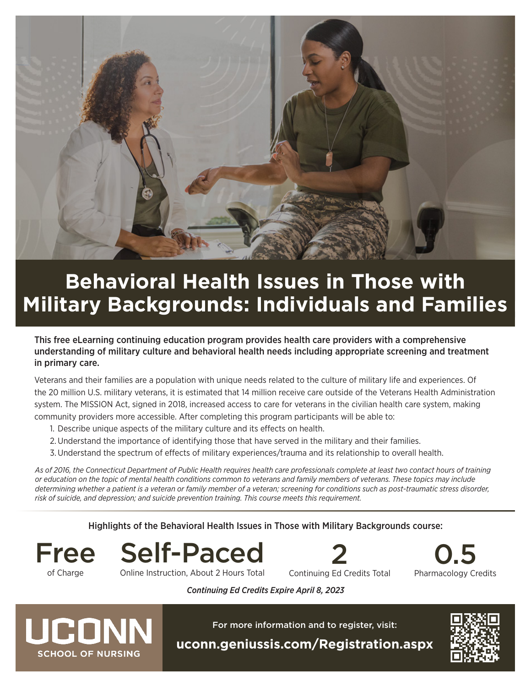

# **Behavioral Health Issues in Those with Military Backgrounds: Individuals and Families**

This free eLearning continuing education program provides health care providers with a comprehensive understanding of military culture and behavioral health needs including appropriate screening and treatment in primary care.

Veterans and their families are a population with unique needs related to the culture of military life and experiences. Of the 20 million U.S. military veterans, it is estimated that 14 million receive care outside of the Veterans Health Administration system. The MISSION Act, signed in 2018, increased access to care for veterans in the civilian health care system, making community providers more accessible. After completing this program participants will be able to:

- 1. Describe unique aspects of the military culture and its effects on health.
- 2.Understand the importance of identifying those that have served in the military and their families.
- 3.Understand the spectrum of effects of military experiences/trauma and its relationship to overall health.

*As of 2016, the Connecticut Department of Public Health requires health care professionals complete at least two contact hours of training or education on the topic of mental health conditions common to veterans and family members of veterans. These topics may include determining whether a patient is a veteran or family member of a veteran; screening for conditions such as post-traumatic stress disorder, risk of suicide, and depression; and suicide prevention training. This course meets this requirement.*

#### Highlights of the Behavioral Health Issues in Those with Military Backgrounds course:

of Charge

Free Self-Paced Online Instruction, About 2 Hours Total





*Continuing Ed Credits Expire April 8, 2023*



For more information and to register, visit: **[uconn.geniussis.com/Registration.aspx](http://uconn.geniussis.com/Registration.aspx)**